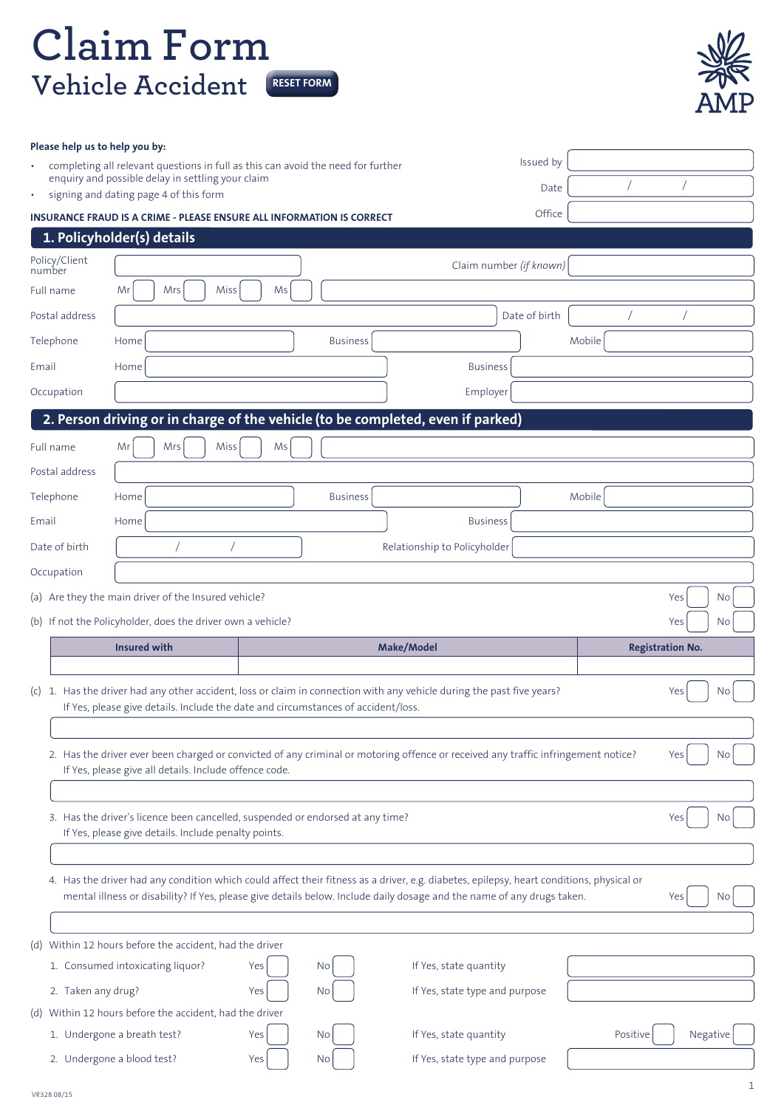## **Claim Form Vehicle Accident RESET FORM**



| Please help us to help you by: |                                                             |                                                                                                                                                                                                                                                                    |                                                          |               |          |                         |
|--------------------------------|-------------------------------------------------------------|--------------------------------------------------------------------------------------------------------------------------------------------------------------------------------------------------------------------------------------------------------------------|----------------------------------------------------------|---------------|----------|-------------------------|
|                                | enquiry and possible delay in settling your claim           | completing all relevant questions in full as this can avoid the need for further                                                                                                                                                                                   |                                                          | Issued by     |          |                         |
| ۰                              | signing and dating page 4 of this form                      |                                                                                                                                                                                                                                                                    |                                                          | Date          |          |                         |
|                                |                                                             | <b>INSURANCE FRAUD IS A CRIME - PLEASE ENSURE ALL INFORMATION IS CORRECT</b>                                                                                                                                                                                       |                                                          | Office        |          |                         |
|                                | 1. Policyholder(s) details                                  |                                                                                                                                                                                                                                                                    |                                                          |               |          |                         |
| Policy/Client<br>number        |                                                             |                                                                                                                                                                                                                                                                    | Claim number (if known)                                  |               |          |                         |
| Full name                      | Mrs<br>Miss<br>Mr                                           | Ms                                                                                                                                                                                                                                                                 |                                                          |               |          |                         |
| Postal address                 |                                                             |                                                                                                                                                                                                                                                                    |                                                          | Date of birth |          |                         |
| Telephone                      | Home                                                        | <b>Business</b>                                                                                                                                                                                                                                                    |                                                          |               | Mobile   |                         |
| Email                          | Home                                                        |                                                                                                                                                                                                                                                                    | <b>Business</b>                                          |               |          |                         |
| Occupation                     |                                                             |                                                                                                                                                                                                                                                                    | Employer                                                 |               |          |                         |
|                                |                                                             | 2. Person driving or in charge of the vehicle (to be completed, even if parked)                                                                                                                                                                                    |                                                          |               |          |                         |
| Full name                      | Mrs<br>Miss<br>Mr                                           | Ms                                                                                                                                                                                                                                                                 |                                                          |               |          |                         |
| Postal address                 |                                                             |                                                                                                                                                                                                                                                                    |                                                          |               |          |                         |
| Telephone                      | Home                                                        | <b>Business</b>                                                                                                                                                                                                                                                    |                                                          |               | Mobile   |                         |
| Email                          | Home                                                        |                                                                                                                                                                                                                                                                    | <b>Business</b>                                          |               |          |                         |
| Date of birth                  |                                                             |                                                                                                                                                                                                                                                                    | Relationship to Policyholder                             |               |          |                         |
| Occupation                     |                                                             |                                                                                                                                                                                                                                                                    |                                                          |               |          |                         |
|                                | (a) Are they the main driver of the Insured vehicle?        |                                                                                                                                                                                                                                                                    |                                                          |               |          | Yes<br>No               |
|                                |                                                             |                                                                                                                                                                                                                                                                    |                                                          |               |          |                         |
|                                | (b) If not the Policyholder, does the driver own a vehicle? |                                                                                                                                                                                                                                                                    |                                                          |               |          | Yes<br><b>No</b>        |
|                                | <b>Insured with</b>                                         |                                                                                                                                                                                                                                                                    | <b>Make/Model</b>                                        |               |          | <b>Registration No.</b> |
|                                |                                                             |                                                                                                                                                                                                                                                                    |                                                          |               |          |                         |
|                                |                                                             | (c) 1. Has the driver had any other accident, loss or claim in connection with any vehicle during the past five years?<br>If Yes, please give details. Include the date and circumstances of accident/loss.                                                        |                                                          |               |          | Yes<br>No.              |
|                                |                                                             |                                                                                                                                                                                                                                                                    |                                                          |               |          |                         |
|                                | If Yes, please give all details. Include offence code.      | 2. Has the driver ever been charged or convicted of any criminal or motoring offence or received any traffic infringement notice?                                                                                                                                  |                                                          |               |          | Yes<br>No               |
|                                |                                                             |                                                                                                                                                                                                                                                                    |                                                          |               |          |                         |
|                                | If Yes, please give details. Include penalty points.        | 3. Has the driver's licence been cancelled, suspended or endorsed at any time?                                                                                                                                                                                     |                                                          |               |          | Yes<br>No               |
|                                |                                                             |                                                                                                                                                                                                                                                                    |                                                          |               |          |                         |
|                                |                                                             | 4. Has the driver had any condition which could affect their fitness as a driver, e.g. diabetes, epilepsy, heart conditions, physical or<br>mental illness or disability? If Yes, please give details below. Include daily dosage and the name of any drugs taken. |                                                          |               |          | No<br>Yes               |
|                                |                                                             |                                                                                                                                                                                                                                                                    |                                                          |               |          |                         |
|                                | (d) Within 12 hours before the accident, had the driver     |                                                                                                                                                                                                                                                                    |                                                          |               |          |                         |
|                                | 1. Consumed intoxicating liquor?                            | Yes<br>No.                                                                                                                                                                                                                                                         | If Yes, state quantity                                   |               |          |                         |
| 2. Taken any drug?             |                                                             | Yes<br>No                                                                                                                                                                                                                                                          | If Yes, state type and purpose                           |               |          |                         |
|                                | (d) Within 12 hours before the accident, had the driver     |                                                                                                                                                                                                                                                                    |                                                          |               |          |                         |
|                                | 1. Undergone a breath test?<br>2. Undergone a blood test?   | Yes<br>No.<br>Yes<br>No                                                                                                                                                                                                                                            | If Yes, state quantity<br>If Yes, state type and purpose |               | Positive | Negative                |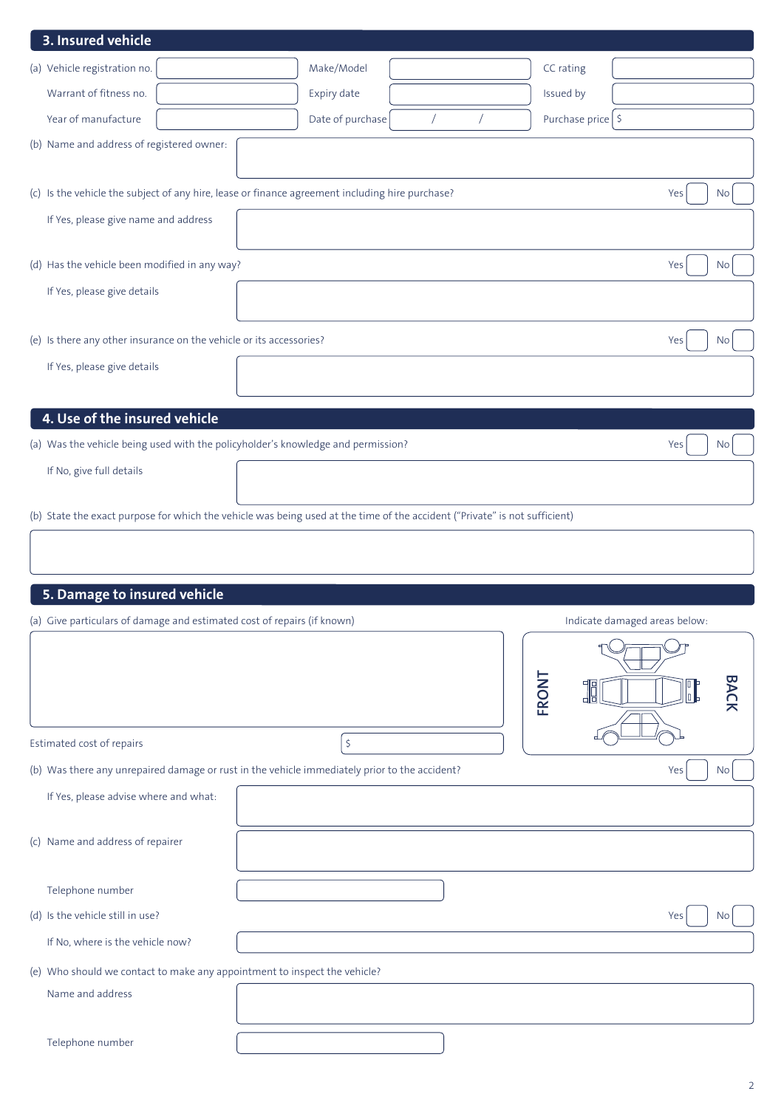| 3. Insured vehicle                                                                                                         |  |                  |  |           |                   |                               |                                           |             |
|----------------------------------------------------------------------------------------------------------------------------|--|------------------|--|-----------|-------------------|-------------------------------|-------------------------------------------|-------------|
| (a) Vehicle registration no.                                                                                               |  | Make/Model       |  | CC rating |                   |                               |                                           |             |
| Warrant of fitness no.                                                                                                     |  | Expiry date      |  | Issued by |                   |                               |                                           |             |
| Year of manufacture                                                                                                        |  | Date of purchase |  |           | Purchase price \$ |                               |                                           |             |
| (b) Name and address of registered owner:                                                                                  |  |                  |  |           |                   |                               |                                           |             |
|                                                                                                                            |  |                  |  |           |                   |                               |                                           |             |
| (c) Is the vehicle the subject of any hire, lease or finance agreement including hire purchase?                            |  |                  |  |           |                   |                               | Yes                                       | <b>No</b>   |
| If Yes, please give name and address                                                                                       |  |                  |  |           |                   |                               |                                           |             |
| (d) Has the vehicle been modified in any way?                                                                              |  |                  |  |           |                   |                               | Yes                                       | <b>No</b>   |
| If Yes, please give details                                                                                                |  |                  |  |           |                   |                               |                                           |             |
| (e) Is there any other insurance on the vehicle or its accessories?                                                        |  |                  |  |           |                   |                               | Yes                                       | <b>No</b>   |
| If Yes, please give details                                                                                                |  |                  |  |           |                   |                               |                                           |             |
|                                                                                                                            |  |                  |  |           |                   |                               |                                           |             |
| 4. Use of the insured vehicle                                                                                              |  |                  |  |           |                   |                               |                                           |             |
| (a) Was the vehicle being used with the policyholder's knowledge and permission?                                           |  |                  |  |           |                   |                               | Yes                                       | <b>No</b>   |
| If No, give full details                                                                                                   |  |                  |  |           |                   |                               |                                           |             |
|                                                                                                                            |  |                  |  |           |                   |                               |                                           |             |
| (b) State the exact purpose for which the vehicle was being used at the time of the accident ("Private" is not sufficient) |  |                  |  |           |                   |                               |                                           |             |
|                                                                                                                            |  |                  |  |           |                   |                               |                                           |             |
| 5. Damage to insured vehicle                                                                                               |  |                  |  |           |                   |                               |                                           |             |
| (a) Give particulars of damage and estimated cost of repairs (if known)                                                    |  |                  |  |           |                   | Indicate damaged areas below: |                                           |             |
|                                                                                                                            |  |                  |  |           |                   |                               |                                           |             |
|                                                                                                                            |  |                  |  |           |                   |                               |                                           |             |
|                                                                                                                            |  |                  |  | FRONT     |                   |                               | $\begin{bmatrix} 0 \\ 0 \\ \end{bmatrix}$ | <b>BACK</b> |
|                                                                                                                            |  |                  |  |           |                   |                               |                                           |             |
| Estimated cost of repairs                                                                                                  |  | \$               |  |           |                   |                               |                                           |             |
| (b) Was there any unrepaired damage or rust in the vehicle immediately prior to the accident?                              |  |                  |  |           |                   |                               | Yes                                       | <b>No</b>   |
| If Yes, please advise where and what:                                                                                      |  |                  |  |           |                   |                               |                                           |             |
|                                                                                                                            |  |                  |  |           |                   |                               |                                           |             |
| (c) Name and address of repairer                                                                                           |  |                  |  |           |                   |                               |                                           |             |
| Telephone number                                                                                                           |  |                  |  |           |                   |                               |                                           |             |
| (d) Is the vehicle still in use?                                                                                           |  |                  |  |           |                   |                               | Yes                                       | No          |
| If No, where is the vehicle now?                                                                                           |  |                  |  |           |                   |                               |                                           |             |
| (e) Who should we contact to make any appointment to inspect the vehicle?                                                  |  |                  |  |           |                   |                               |                                           |             |
| Name and address                                                                                                           |  |                  |  |           |                   |                               |                                           |             |
|                                                                                                                            |  |                  |  |           |                   |                               |                                           |             |
| Telephone number                                                                                                           |  |                  |  |           |                   |                               |                                           |             |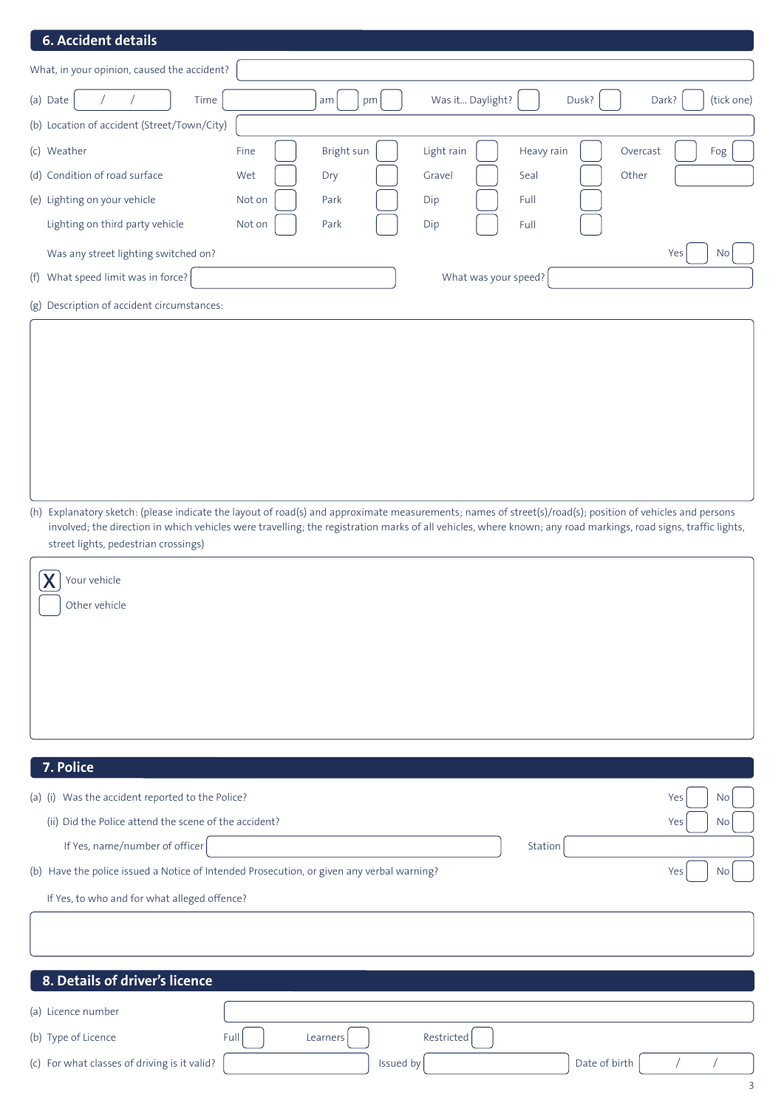## **6. Accident details**

| What, in your opinion, caused the accident? |        |            |                      |            |                         |
|---------------------------------------------|--------|------------|----------------------|------------|-------------------------|
| (a) Date<br>Time                            |        | am<br>pm   | Was it Daylight?     | Dusk?      | (tick one)<br>Dark?     |
| (b) Location of accident (Street/Town/City) |        |            |                      |            |                         |
| (c) Weather                                 | Fine   | Bright sun | Light rain           | Heavy rain | Overcast<br>Fog         |
| (d) Condition of road surface               | Wet    | Dry        | Gravel               | Seal       | Other                   |
| (e) Lighting on your vehicle                | Not on | Park       | Dip                  | Full       |                         |
| Lighting on third party vehicle             | Not on | Park       | Dip                  | Full       |                         |
| Was any street lighting switched on?        |        |            |                      |            | Yes<br>$\overline{N}$ o |
| (f) What speed limit was in force?          |        |            | What was your speed? |            |                         |
| (g) Description of accident circumstances:  |        |            |                      |            |                         |

(h) Explanatory sketch: (please indicate the layout of road(s) and approximate measurements; names of street(s)/road(s); position of vehicles and persons involved; the direction in which vehicles were travelling; the registration marks of all vehicles, where known; any road markings, road signs, traffic lights, street lights, pedestrian crossings)

| $\underline{\mathbf{X}}$<br>Your vehicle |  |
|------------------------------------------|--|
| Other vehicle                            |  |
|                                          |  |
|                                          |  |
|                                          |  |

| 7. Police                                             |                                                                                       |                  |
|-------------------------------------------------------|---------------------------------------------------------------------------------------|------------------|
| (a) (i) Was the accident reported to the Police?      |                                                                                       | Yes<br>No        |
| (ii) Did the Police attend the scene of the accident? |                                                                                       | Yes<br>No        |
| If Yes, name/number of officer                        | Station                                                                               |                  |
| (b)                                                   | Have the police issued a Notice of Intended Prosecution, or given any verbal warning? | Yes<br><b>No</b> |
| If Yes, to who and for what alleged offence?          |                                                                                       |                  |
|                                                       |                                                                                       |                  |
|                                                       |                                                                                       |                  |
| 8. Details of driver's licence                        |                                                                                       |                  |
| (a) Licence number                                    |                                                                                       |                  |
| (b) Type of Licence                                   | Restricted<br>Full<br>Learners                                                        |                  |
| (c) For what classes of driving is it valid?          | Issued by                                                                             | Date of birth    |
|                                                       |                                                                                       | 3                |